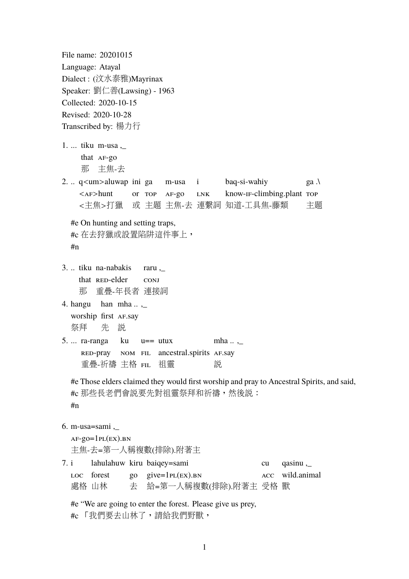File name: 20201015 Language: Atayal Dialect : (汶水泰雅)Mayrinax Speaker: 劉仁善(Lawsing) - 1963 Collected: 2020-10-15 Revised: 2020-10-28 Transcribed by: 楊力行 1. ... tiku m-usa ,\_ that **AF-go** 那 <sup>主</sup>焦-去 2. .. q<um>aluwap ini ga baq-si-wahiy m-usa i  $ga \lambda$ or top af-go know-if-climbing.plant Top  $\langle AF>hunt$ LNK 主題 <sup>主</sup>焦-去 連繫詞 知道-工具焦-藤類 <sup>&</sup>lt;主焦>打<sup>獵</sup> 主題 或 #e On hunting and setting traps, #c <sup>在</sup>去狩獵或設置陷阱這件事上, #n 3. .. tiku na-nabakis raru ,\_ that RED-elder conj 那 <sup>重</sup>疊-年長者 連接詞 han  $mha...$ 4. hangu worship first AF.say <sup>祭</sup>拜 先 說 u== utux 5. ... ra-ranga ku mha .. ,\_ nom fil ancestral.spirits af.say red-pray 重疊-祈禱 主格 <mark>FIL</mark> 祖靈 說 #e Those elders claimed they would first worship and pray to Ancestral Spirits, and said, #c <sup>那</sup>些長老們會說要先對祖靈祭拜和祈禱,然後說: #n 6. m-usa=sami ,\_  $AF-gO=1PL(EX)$ .BN <sup>主</sup>焦-去=第一人稱複數(排除).附著<sup>主</sup> lahulahuw kiru baiqey=sami 7. i cu qasinu ,\_ loc forest go give=1pl(ex).bn acc wild.animal <sup>處</sup>格 <sup>山</sup>林 夫 給=第一人稱複數(排除).附著主 受格 獸 去 受格 #e "We are going to enter the forest. Please give us prey,

#c 「我們要去山林了,請給我們野獸,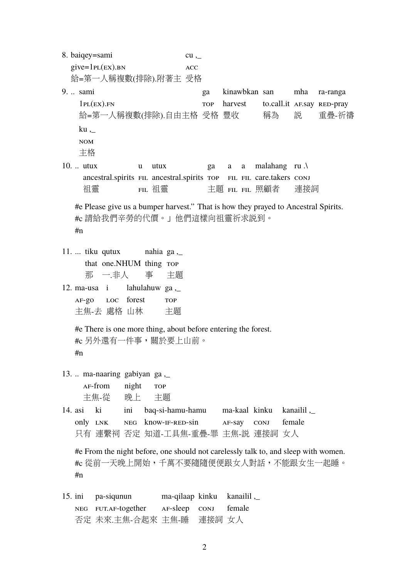8. baiqey=sami  $give = 1PL(EX)$ .BN 給=第一人稱複數(排除).附著主 受格  $cu$ , acc 受格 9. .. sami  $1PL(EX)$ .FN <sup>給</sup>=第一人稱複數(排除).自由主格 受格 ga TOP kinawbkan san harvest 豐收 to.call.it AF.say RED-pray 稱為 mha 說 ra-ranga <sup>重</sup>疊-祈禱 ku ,\_ nom <sup>主</sup>格 10. .. utux ancestral.spirits FIL ancestral.spirits TOP FIL FIL care.takers CONJ 祖靈 u utux fil 祖靈 ga 主題 <mark>FIL FIL</mark> 照顧者 a a malahang ru .\ 連接詞 #e Please give us a bumper harvest." That is how they prayed to Ancestral Spirits. #c <sup>請</sup>給我們辛勞的代價。」他們這樣向祖靈祈求說到。 #n 11. ... tiku qutux that one.NHUM thing TOP 那 一.非人 nahia ga ,\_ 事 主題 12. ma-usa i  $AF-QO$ <sup>主</sup>焦-去 <sup>處</sup>格 <sup>山</sup>林 loc forest lahulahuw ga ,\_ TOP 主題 #e There is one more thing, about before entering the forest. #c 另外還有一件事,關於要上山前。 #n  $13.$ ... ma-naaring gabiyan ga.  $AF$ -from <sup>主</sup>焦-從 night 晚上 **TOP** 主題 14. asi ki only LNK 行<br>一 連繫祠 否定 <sup>知</sup>道-工具焦-重疊-<sup>罪</sup> 主焦-說 連接詞 女<sup>人</sup> ini neg know-if-red-sin baq-si-hamu-hamu ma-kaal kinku af-say conj kanailil ,\_ female #e From the night before, one should not carelessly talk to, and sleep with women. #c 從前一天晚上開始,千萬不要隨隨便便跟女人對話,不能跟女生一起睡。 #n 15. ini neg fut.af-together 否定 未來.主焦-合起來 主焦-睡 pa-siqunun ma-qilaap kinku af-sleep conj 連接詞 女<sup>人</sup> kanailil ,\_ female